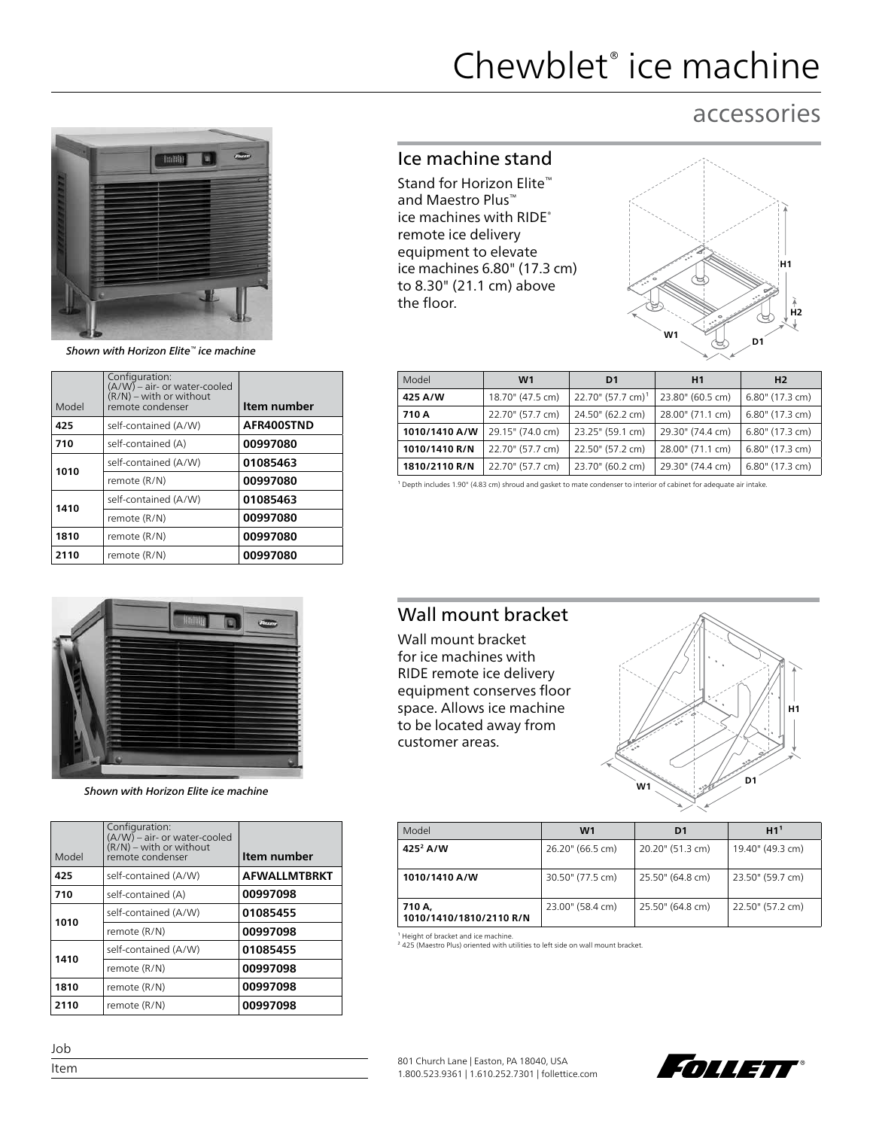# Chewblet® ice machine

## accessories



*Shown with Horizon Elite™ ice machine*

| Model | Configuration:<br>$(A/W)$ – air- or water-cooled<br>$(R/N)$ – with or without<br>remote condenser | Item number |
|-------|---------------------------------------------------------------------------------------------------|-------------|
| 425   | self-contained (A/W)                                                                              | AFR400STND  |
| 710   | self-contained (A)                                                                                | 00997080    |
| 1010  | self-contained (A/W)                                                                              | 01085463    |
|       | remote (R/N)                                                                                      | 00997080    |
| 1410  | self-contained (A/W)                                                                              | 01085463    |
|       | remote (R/N)                                                                                      | 00997080    |
| 1810  | remote (R/N)                                                                                      | 00997080    |
| 2110  | remote (R/N)                                                                                      | 00997080    |



*Shown with Horizon Elite ice machine*

| Model | Configuration:<br>(A/W) – air- or water-cooled<br>$(R/N)$ – with or without<br>remote condenser | Item number         |
|-------|-------------------------------------------------------------------------------------------------|---------------------|
| 425   | self-contained (A/W)                                                                            | <b>AFWALLMTBRKT</b> |
| 710   | self-contained (A)                                                                              | 00997098            |
| 1010  | self-contained (A/W)                                                                            | 01085455            |
|       | remote (R/N)                                                                                    | 00997098            |
| 1410  | self-contained (A/W)                                                                            | 01085455            |
|       | remote (R/N)                                                                                    | 00997098            |
| 1810  | remote (R/N)                                                                                    | 00997098            |
| 2110  | remote (R/N)                                                                                    | 00997098            |

### Ice machine stand

Stand for Horizon Elite™ and Maestro Plus™ ice machines with RIDE® remote ice delivery equipment to elevate ice machines 6.80" (17.3 cm) to 8.30" (21.1 cm) above the floor.



| Model         | W <sub>1</sub>   | D1                            | H1               | H <sub>2</sub>  |
|---------------|------------------|-------------------------------|------------------|-----------------|
| 425 A/W       | 18.70" (47.5 cm) | 22.70" (57.7 cm) <sup>1</sup> | 23.80" (60.5 cm) | 6.80" (17.3 cm) |
| 710 A         | 22.70" (57.7 cm) | 24.50" (62.2 cm)              | 28.00" (71.1 cm) | 6.80" (17.3 cm) |
| 1010/1410 A/W | 29.15" (74.0 cm) | 23.25" (59.1 cm)              | 29.30" (74.4 cm) | 6.80" (17.3 cm) |
| 1010/1410 R/N | 22.70" (57.7 cm) | 22.50" (57.2 cm)              | 28.00" (71.1 cm) | 6.80" (17.3 cm) |
| 1810/2110 R/N | 22.70" (57.7 cm) | 23.70" (60.2 cm)              | 29.30" (74.4 cm) | 6.80" (17.3 cm) |

<sup>1</sup> Depth includes 1.90" (4.83 cm) shroud and gasket to mate condenser to interior of cabinet for adequate air intake.

## Wall mount bracket

Wall mount bracket for ice machines with RIDE remote ice delivery equipment conserves floor space. Allows ice machine to be located away from customer areas.



| Model                             | W <sub>1</sub>   | D1               | H1 <sup>1</sup>  |
|-----------------------------------|------------------|------------------|------------------|
| 425 <sup>2</sup> A/W              | 26.20" (66.5 cm) | 20.20" (51.3 cm) | 19.40" (49.3 cm) |
| 1010/1410 A/W                     | 30.50" (77.5 cm) | 25.50" (64.8 cm) | 23.50" (59.7 cm) |
| 710 A,<br>1010/1410/1810/2110 R/N | 23.00" (58.4 cm) | 25.50" (64.8 cm) | 22.50" (57.2 cm) |

<sup>1</sup> Height of bracket and ice machine.<br><sup>2</sup> 425 (Maestro Plus) oriented with utilities to left side on wall mount bracket.